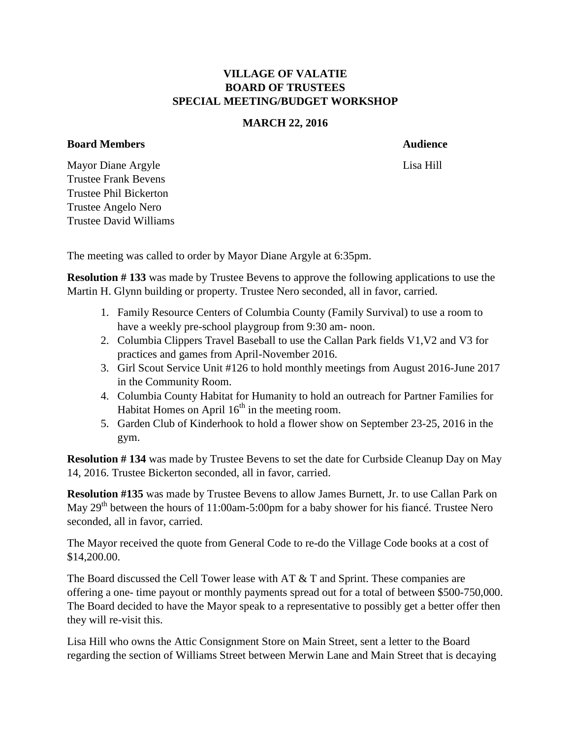## **VILLAGE OF VALATIE BOARD OF TRUSTEES SPECIAL MEETING/BUDGET WORKSHOP**

## **MARCH 22, 2016**

## **Board Members Audience**

Mayor Diane Argyle Lisa Hill Trustee Frank Bevens Trustee Phil Bickerton Trustee Angelo Nero Trustee David Williams

The meeting was called to order by Mayor Diane Argyle at 6:35pm.

**Resolution # 133** was made by Trustee Bevens to approve the following applications to use the Martin H. Glynn building or property. Trustee Nero seconded, all in favor, carried.

- 1. Family Resource Centers of Columbia County (Family Survival) to use a room to have a weekly pre-school playgroup from 9:30 am- noon.
- 2. Columbia Clippers Travel Baseball to use the Callan Park fields V1,V2 and V3 for practices and games from April-November 2016.
- 3. Girl Scout Service Unit #126 to hold monthly meetings from August 2016-June 2017 in the Community Room.
- 4. Columbia County Habitat for Humanity to hold an outreach for Partner Families for Habitat Homes on April  $16<sup>th</sup>$  in the meeting room.
- 5. Garden Club of Kinderhook to hold a flower show on September 23-25, 2016 in the gym.

**Resolution # 134** was made by Trustee Bevens to set the date for Curbside Cleanup Day on May 14, 2016. Trustee Bickerton seconded, all in favor, carried.

**Resolution #135** was made by Trustee Bevens to allow James Burnett, Jr. to use Callan Park on May  $29<sup>th</sup>$  between the hours of 11:00am-5:00pm for a baby shower for his fiance. Trustee Nero seconded, all in favor, carried.

The Mayor received the quote from General Code to re-do the Village Code books at a cost of \$14,200.00.

The Board discussed the Cell Tower lease with AT & T and Sprint. These companies are offering a one- time payout or monthly payments spread out for a total of between \$500-750,000. The Board decided to have the Mayor speak to a representative to possibly get a better offer then they will re-visit this.

Lisa Hill who owns the Attic Consignment Store on Main Street, sent a letter to the Board regarding the section of Williams Street between Merwin Lane and Main Street that is decaying